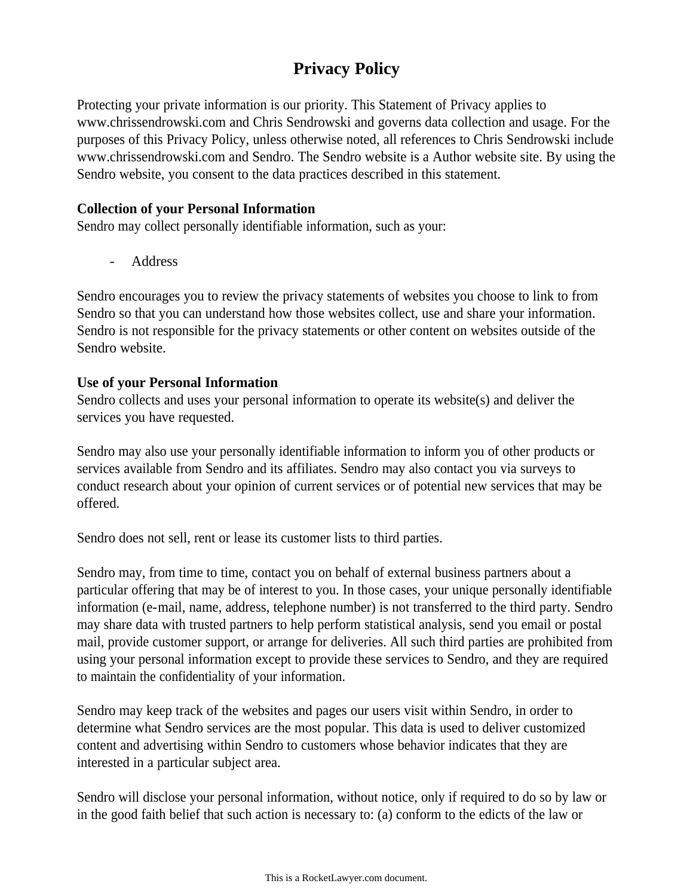# **Privacy Policy**

Protecting your private information is our priority. This Statement of Privacy applies to www.chrissendrowski.com and Chris Sendrowski and governs data collection and usage. For the purposes of this Privacy Policy, unless otherwise noted, all references to Chris Sendrowski include www.chrissendrowski.com and Sendro. The Sendro website is a Author website site. By using the Sendro website, you consent to the data practices described in this statement.

# **Collection of your Personal Information**

Sendro may collect personally identifiable information, such as your:

- Address

Sendro encourages you to review the privacy statements of websites you choose to link to from Sendro so that you can understand how those websites collect, use and share your information. Sendro is not responsible for the privacy statements or other content on websites outside of the Sendro website.

# **Use of your Personal Information**

Sendro collects and uses your personal information to operate its website(s) and deliver the services you have requested.

Sendro may also use your personally identifiable information to inform you of other products or services available from Sendro and its affiliates. Sendro may also contact you via surveys to conduct research about your opinion of current services or of potential new services that may be offered.

Sendro does not sell, rent or lease its customer lists to third parties.

Sendro may, from time to time, contact you on behalf of external business partners about a particular offering that may be of interest to you. In those cases, your unique personally identifiable information (e-mail, name, address, telephone number) is not transferred to the third party. Sendro may share data with trusted partners to help perform statistical analysis, send you email or postal mail, provide customer support, or arrange for deliveries. All such third parties are prohibited from using your personal information except to provide these services to Sendro, and they are required to maintain the confidentiality of your information.

Sendro may keep track of the websites and pages our users visit within Sendro, in order to determine what Sendro services are the most popular. This data is used to deliver customized content and advertising within Sendro to customers whose behavior indicates that they are interested in a particular subject area.

Sendro will disclose your personal information, without notice, only if required to do so by law or in the good faith belief that such action is necessary to: (a) conform to the edicts of the law or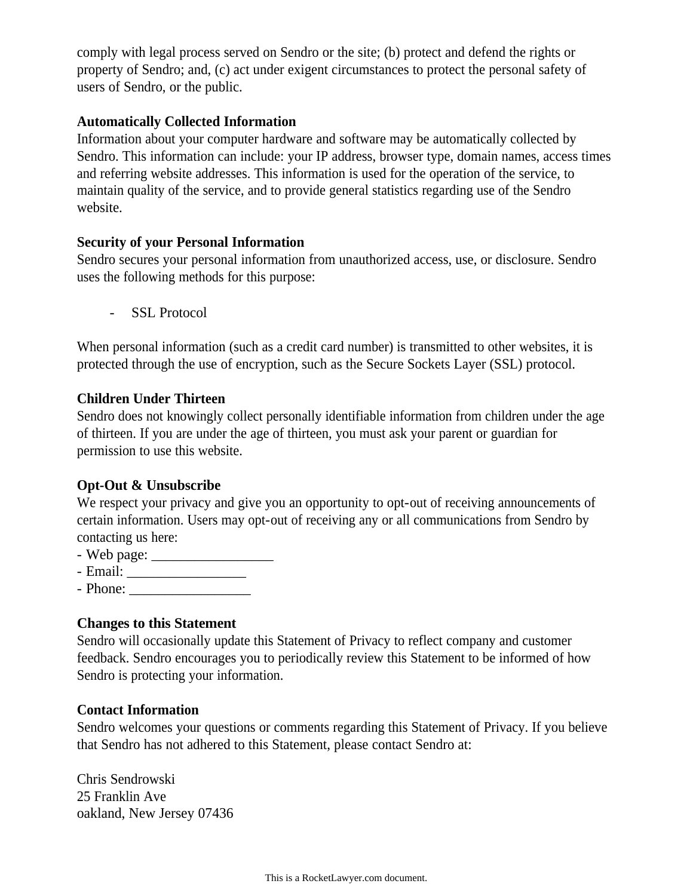comply with legal process served on Sendro or the site; (b) protect and defend the rights or property of Sendro; and, (c) act under exigent circumstances to protect the personal safety of users of Sendro, or the public.

### **Automatically Collected Information**

Information about your computer hardware and software may be automatically collected by Sendro. This information can include: your IP address, browser type, domain names, access times and referring website addresses. This information is used for the operation of the service, to maintain quality of the service, and to provide general statistics regarding use of the Sendro website.

### **Security of your Personal Information**

Sendro secures your personal information from unauthorized access, use, or disclosure. Sendro uses the following methods for this purpose:

- SSL Protocol

When personal information (such as a credit card number) is transmitted to other websites, it is protected through the use of encryption, such as the Secure Sockets Layer (SSL) protocol.

### **Children Under Thirteen**

Sendro does not knowingly collect personally identifiable information from children under the age of thirteen. If you are under the age of thirteen, you must ask your parent or guardian for permission to use this website.

# **Opt-Out & Unsubscribe**

We respect your privacy and give you an opportunity to opt-out of receiving announcements of certain information. Users may opt-out of receiving any or all communications from Sendro by contacting us here:

- Web page: \_\_\_\_\_\_\_\_\_\_\_\_\_\_\_\_\_
- Email: \_\_\_\_\_\_\_\_\_\_\_\_\_\_\_\_\_
- Phone: \_\_\_\_\_\_\_\_\_\_\_\_\_\_\_\_\_

# **Changes to this Statement**

Sendro will occasionally update this Statement of Privacy to reflect company and customer feedback. Sendro encourages you to periodically review this Statement to be informed of how Sendro is protecting your information.

# **Contact Information**

Sendro welcomes your questions or comments regarding this Statement of Privacy. If you believe that Sendro has not adhered to this Statement, please contact Sendro at:

Chris Sendrowski 25 Franklin Ave oakland, New Jersey 07436